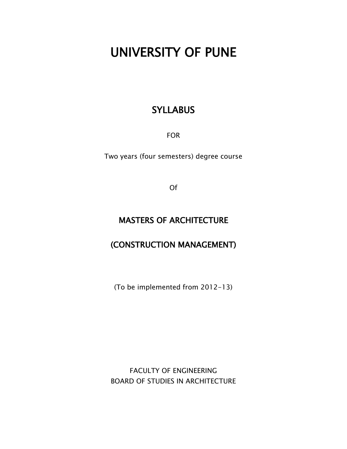# UNIVERSITY OF PUNE

### **SYLLABUS**

FOR

Two years (four semesters) degree course

Of

### MASTERS OF ARCHITECTURE

## (CONSTRUCTION MANAGEMENT)

(To be implemented from 2012-13)

FACULTY OF ENGINEERING BOARD OF STUDIES IN ARCHITECTURE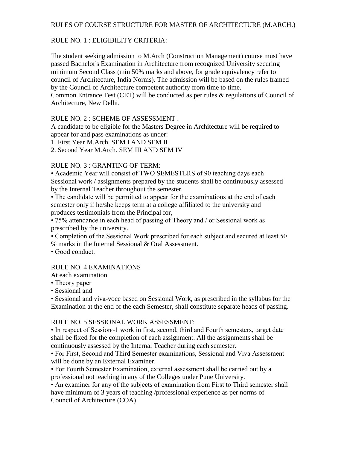#### RULES OF COURSE STRUCTURE FOR MASTER OF ARCHITECTURE (M.ARCH.)

#### RULE NO. 1 : ELIGIBILITY CRITERIA:

The student seeking admission to M.Arch (Construction Management) course must have passed Bachelor's Examination in Architecture from recognized University securing minimum Second Class (min 50% marks and above, for grade equivalency refer to council of Architecture, India Norms). The admission will be based on the rules framed by the Council of Architecture competent authority from time to time. Common Entrance Test (CET) will be conducted as per rules & regulations of Council of Architecture, New Delhi.

#### RULE NO. 2 : SCHEME OF ASSESSMENT :

A candidate to be eligible for the Masters Degree in Architecture will be required to appear for and pass examinations as under:

1. First Year M.Arch. SEM I AND SEM II

2. Second Year M.Arch. SEM III AND SEM IV

#### RULE NO. 3 : GRANTING OF TERM:

• Academic Year will consist of TWO SEMESTERS of 90 teaching days each Sessional work / assignments prepared by the students shall be continuously assessed by the Internal Teacher throughout the semester.

• The candidate will be permitted to appear for the examinations at the end of each semester only if he/she keeps term at a college affiliated to the university and produces testimonials from the Principal for,

• 75% attendance in each head of passing of Theory and / or Sessional work as prescribed by the university.

• Completion of the Sessional Work prescribed for each subject and secured at least 50 % marks in the Internal Sessional & Oral Assessment.

• Good conduct.

#### RULE NO. 4 EXAMINATIONS

At each examination

- Theory paper
- Sessional and

• Sessional and viva-voce based on Sessional Work, as prescribed in the syllabus for the Examination at the end of the each Semester, shall constitute separate heads of passing.

#### RULE NO. 5 SESSIONAL WORK ASSESSMENT:

• In respect of Session~1 work in first, second, third and Fourth semesters, target date shall be fixed for the completion of each assignment. All the assignments shall be continuously assessed by the Internal Teacher during each semester.

• For First, Second and Third Semester examinations, Sessional and Viva Assessment will be done by an External Examiner.

• For Fourth Semester Examination, external assessment shall be carried out by a professional not teaching in any of the Colleges under Pune University.

• An examiner for any of the subjects of examination from First to Third semester shall have minimum of 3 years of teaching /professional experience as per norms of Council of Architecture (COA).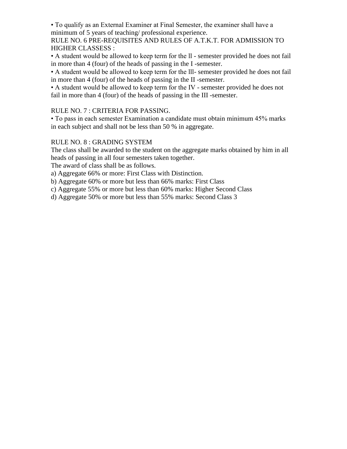• To qualify as an External Examiner at Final Semester, the examiner shall have a minimum of 5 years of teaching/ professional experience.

RULE NO. 6 PRE-REQUISITES AND RULES OF A.T.K.T. FOR ADMISSION TO HIGHER CLASSESS :

• A student would be allowed to keep term for the ll - semester provided he does not fail in more than 4 (four) of the heads of passing in the I -semester.

• A student would be allowed to keep term for the lll- semester provided he does not fail in more than 4 (four) of the heads of passing in the II -semester.

• A student would be allowed to keep term for the IV - semester provided he does not fail in more than 4 (four) of the heads of passing in the III -semester.

#### RULE NO. 7 : CRITERIA FOR PASSING.

• To pass in each semester Examination a candidate must obtain minimum 45% marks in each subject and shall not be less than 50 % in aggregate.

#### RULE NO. 8 : GRADING SYSTEM

The class shall be awarded to the student on the aggregate marks obtained by him in all heads of passing in all four semesters taken together.

The award of class shall be as follows.

a) Aggregate 66% or more: First Class with Distinction.

b) Aggregate 60% or more but less than 66% marks: First Class

c) Aggregate 55% or more but less than 60% marks: Higher Second Class

d) Aggregate 50% or more but less than 55% marks: Second Class 3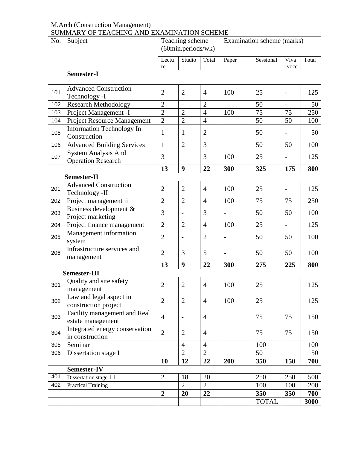#### M.Arch (Construction Management) SUMMARY OF TEACHING AND EXAMINATION SCHEME

| No. | Subject                                                 | Teaching scheme<br>(60min.periods/wk) |                          |                |                          | Examination scheme (marks) |                   |       |
|-----|---------------------------------------------------------|---------------------------------------|--------------------------|----------------|--------------------------|----------------------------|-------------------|-------|
|     |                                                         | Lectu<br>re                           | Studio                   | Total          | Paper                    | Sessional                  | Viva<br>-voce     | Total |
|     | Semester-I                                              |                                       |                          |                |                          |                            |                   |       |
| 101 | <b>Advanced Construction</b><br>Technology -I           | $\overline{2}$                        | $\overline{2}$           | $\overline{4}$ | 100                      | 25                         | $\overline{a}$    | 125   |
| 102 | <b>Research Methodology</b>                             | $\overline{2}$                        | $\overline{\phantom{a}}$ | $\overline{2}$ |                          | 50                         | $\qquad \qquad -$ | 50    |
| 103 | Project Management -I                                   | $\overline{2}$                        | $\overline{2}$           | $\overline{4}$ | 100                      | 75                         | 75                | 250   |
| 104 | <b>Project Resource Management</b>                      | $\overline{2}$                        | $\overline{2}$           | $\overline{4}$ |                          | 50                         | 50                | 100   |
| 105 | Information Technology In<br>Construction               | 1                                     | 1                        | $\overline{2}$ |                          | 50                         |                   | 50    |
| 106 | <b>Advanced Building Services</b>                       | $\mathbf 1$                           | $\overline{2}$           | 3              |                          | 50                         | 50                | 100   |
| 107 | <b>System Analysis And</b><br><b>Operation Research</b> | 3                                     |                          | 3              | 100                      | 25                         |                   | 125   |
|     |                                                         | 13                                    | 9                        | 22             | 300                      | 325                        | 175               | 800   |
|     | Semester-II                                             |                                       |                          |                |                          |                            |                   |       |
| 201 | <b>Advanced Construction</b><br>Technology -II          | $\overline{2}$                        | $\overline{2}$           | $\overline{4}$ | 100                      | 25                         | $\blacksquare$    | 125   |
| 202 | Project management ii                                   | $\overline{2}$                        | $\overline{2}$           | $\overline{4}$ | 100                      | 75                         | 75                | 250   |
| 203 | Business development &<br>Project marketing             | 3                                     | $\overline{\phantom{a}}$ | 3              |                          | 50                         | 50                | 100   |
| 204 | Project finance management                              | $\overline{2}$                        | $\overline{2}$           | $\overline{4}$ | 100                      | 25                         | $\overline{a}$    | 125   |
| 205 | Management information<br>system                        | $\overline{2}$                        | $\overline{\phantom{0}}$ | $\overline{2}$ |                          | 50                         | 50                | 100   |
| 206 | Infrastructure services and<br>management               | $\overline{2}$                        | 3                        | 5              | $\overline{\phantom{a}}$ | 50                         | 50                | 100   |
|     |                                                         | 13                                    | 9                        | 22             | 300                      | 275                        | 225               | 800   |
|     | <b>Semester-III</b>                                     |                                       |                          |                |                          |                            |                   |       |
| 301 | Quality and site safety<br>management                   | $\overline{2}$                        | $\overline{2}$           | $\overline{4}$ | 100                      | 25                         |                   | 125   |
| 302 | Law and legal aspect in<br>construction project         | $\overline{2}$                        | $\mathfrak{2}$           | $\overline{4}$ | 100                      | 25                         |                   | 125   |
| 303 | Facility management and Real<br>estate management       | $\overline{4}$                        | $\overline{\phantom{0}}$ | $\overline{4}$ |                          | 75                         | 75                | 150   |
| 304 | Integrated energy conservation<br>in construction       | $\overline{2}$                        | $\mathbf{2}$             | $\overline{4}$ |                          | 75                         | 75                | 150   |
| 305 | Seminar                                                 |                                       | $\overline{4}$           | $\overline{4}$ |                          | 100                        |                   | 100   |
| 306 | Dissertation stage I                                    |                                       | $\overline{2}$           | $\overline{2}$ |                          | 50                         |                   | 50    |
|     |                                                         | 10                                    | 12                       | 22             | 200                      | 350                        | 150               | 700   |
|     | Semester-IV                                             |                                       |                          |                |                          |                            |                   |       |
| 401 | Dissertation stage I I                                  | $\mathfrak{2}$                        | 18                       | 20             |                          | 250                        | 250               | 500   |
| 402 | <b>Practical Training</b>                               |                                       | $\overline{2}$           | $\overline{2}$ |                          | 100                        | 100               | 200   |
|     |                                                         | $\boldsymbol{2}$                      | 20                       | 22             |                          | 350                        | 350               | 700   |
|     |                                                         |                                       |                          |                |                          | <b>TOTAL</b>               |                   | 3000  |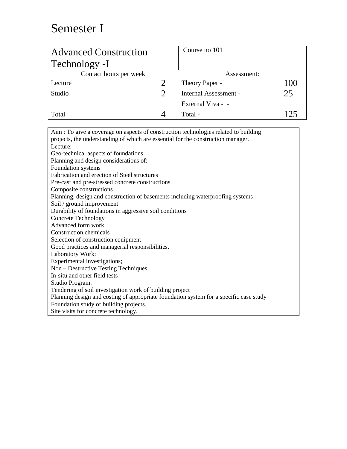## Semester I

| <b>Advanced Construction</b> |                             | Course no 101         |     |
|------------------------------|-----------------------------|-----------------------|-----|
| Technology -I                |                             |                       |     |
| Contact hours per week       |                             | Assessment:           |     |
| Lecture                      |                             | Theory Paper -        | 100 |
| Studio                       | $\mathcal{D}_{\mathcal{L}}$ | Internal Assessment - | 25  |
|                              |                             | External Viva - -     |     |
| Total                        |                             | Total -               | 125 |

Aim : To give a coverage on aspects of construction technologies related to building projects, the understanding of which are essential for the construction manager. Lecture: Geo-technical aspects of foundations Planning and design considerations of: Foundation systems Fabrication and erection of Steel structures Pre-cast and pre-stressed concrete constructions Composite constructions Planning, design and construction of basements including waterproofing systems Soil / ground improvement Durability of foundations in aggressive soil conditions Concrete Technology Advanced form work Construction chemicals Selection of construction equipment Good practices and managerial responsibilities. Laboratory Work: Experimental investigations; Non – Destructive Testing Techniques, In-situ and other field tests Studio Program: Tendering of soil investigation work of building project Planning design and costing of appropriate foundation system for a specific case study Foundation study of building projects. Site visits for concrete technology.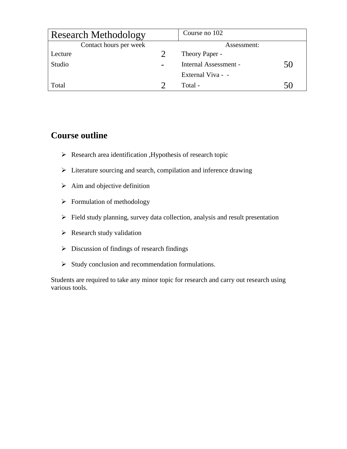| <b>Research Methodology</b> | Course no 102         |  |
|-----------------------------|-----------------------|--|
| Contact hours per week      | Assessment:           |  |
| Lecture                     | Theory Paper -        |  |
| Studio                      | Internal Assessment - |  |
|                             | External Viva - -     |  |
| Total                       | Total -               |  |

### **Course outline**

- $\triangleright$  Research area identification , Hypothesis of research topic
- Literature sourcing and search, compilation and inference drawing
- $\triangleright$  Aim and objective definition
- $\triangleright$  Formulation of methodology
- $\triangleright$  Field study planning, survey data collection, analysis and result presentation
- $\triangleright$  Research study validation
- $\triangleright$  Discussion of findings of research findings
- $\triangleright$  Study conclusion and recommendation formulations.

Students are required to take any minor topic for research and carry out research using various tools.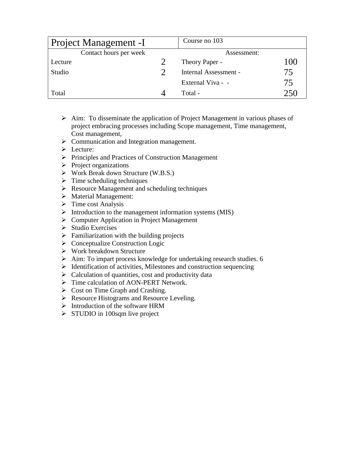| <b>Project Management -I</b> | Course no 103         |     |
|------------------------------|-----------------------|-----|
| Contact hours per week       | Assessment:           |     |
| Lecture                      | Theory Paper -        | 100 |
| Studio                       | Internal Assessment - | 75  |
|                              | External Viva - -     | 75  |
| Total                        | Total -               | 251 |

- $\triangleright$  Aim: To disseminate the application of Project Management in various phases of project embracing processes including Scope management, Time management, Cost management,
- $\triangleright$  Communication and Integration management.
- > Lecture:
- $\triangleright$  Principles and Practices of Construction Management
- $\triangleright$  Project organizations
- $\triangleright$  Work Break down Structure (W.B.S.)
- $\triangleright$  Time scheduling techniques
- $\triangleright$  Resource Management and scheduling techniques
- > Material Management:
- $\triangleright$  Time cost Analysis
- $\triangleright$  Introduction to the management information systems (MIS)
- Computer Application in Project Management
- $\triangleright$  Studio Exercises
- $\triangleright$  Familiarization with the building projects
- $\triangleright$  Conceptualize Construction Logic
- $\triangleright$  Work breakdown Structure
- $\triangleright$  Aim: To impart process knowledge for undertaking research studies. 6
- $\triangleright$  Identification of activities, Milestones and construction sequencing
- $\triangleright$  Calculation of quantities, cost and productivity data
- > Time calculation of AON-PERT Network.
- $\triangleright$  Cost on Time Graph and Crashing.
- Resource Histograms and Resource Leveling.
- $\triangleright$  Introduction of the software HRM
- $\triangleright$  STUDIO in 100sqm live project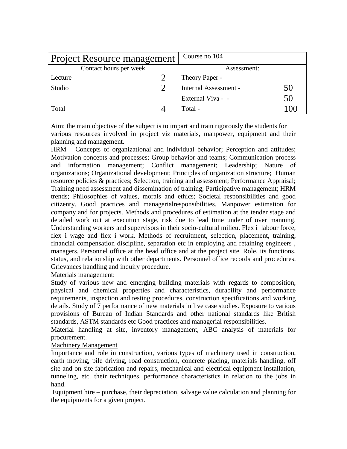| <b>Project Resource management</b> | Course no 104               |
|------------------------------------|-----------------------------|
| Contact hours per week             | Assessment:                 |
| Lecture                            | Theory Paper -              |
| Studio                             | Internal Assessment -<br>50 |
|                                    | 50<br>External Viva - -     |
| Total                              | Total -<br>I ( ) (          |

Aim: the main objective of the subject is to impart and train rigorously the students for various resources involved in project viz materials, manpower, equipment and their planning and management.

HRM Concepts of organizational and individual behavior; Perception and attitudes; Motivation concepts and processes; Group behavior and teams; Communication process and information management; Conflict management; Leadership; Nature of organizations; Organizational development; Principles of organization structure; Human resource policies & practices; Selection, training and assessment; Performance Appraisal; Training need assessment and dissemination of training; Participative management; HRM trends; Philosophies of values, morals and ethics; Societal responsibilities and good citizenry. Good practices and managerialresponsibilities. Manpower estimation for company and for projects. Methods and procedures of estimation at the tender stage and detailed work out at execution stage, risk due to lead time under of over manning. Understanding workers and supervisors in their socio-cultural milieu. Flex i labour force, flex i wage and flex i work. Methods of recruitment, selection, placement, training, financial compensation discipline, separation etc in employing and retaining engineers , managers. Personnel office at the head office and at the project site. Role, its functions, status, and relationship with other departments. Personnel office records and procedures. Grievances handling and inquiry procedure.

#### Materials management:

Study of various new and emerging building materials with regards to composition, physical and chemical properties and characteristics, durability and performance requirements, inspection and testing procedures, construction specifications and working details. Study of 7 performance of new materials in live case studies. Exposure to various provisions of Bureau of Indian Standards and other national standards like British standards, ASTM standards etc Good practices and managerial responsibilities.

Material handling at site, inventory management, ABC analysis of materials for procurement.

#### Machinery Management

Importance and role in construction, various types of machinery used in construction, earth moving, pile driving, road construction, concrete placing, materials handling, off site and on site fabrication and repairs, mechanical and electrical equipment installation, tunneling, etc. their techniques, performance characteristics in relation to the jobs in hand.

Equipment hire – purchase, their depreciation, salvage value calculation and planning for the equipments for a given project.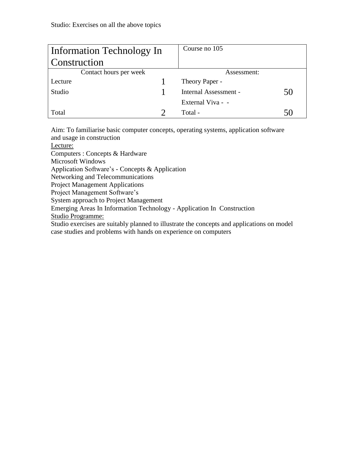| Information Technology In | Course no 105         |    |
|---------------------------|-----------------------|----|
| Construction              |                       |    |
| Contact hours per week    | Assessment:           |    |
| Lecture                   | Theory Paper -        |    |
| Studio                    | Internal Assessment - | 50 |
|                           | External Viva - -     |    |
| Total                     | Total -               |    |

Aim: To familiarise basic computer concepts, operating systems, application software and usage in construction

Lecture:

Computers : Concepts & Hardware

Microsoft Windows

Application Software's - Concepts & Application

Networking and Telecommunications

Project Management Applications

Project Management Software's

System approach to Project Management

Emerging Areas In Information Technology - Application In Construction

Studio Programme:

Studio exercises are suitably planned to illustrate the concepts and applications on model case studies and problems with hands on experience on computers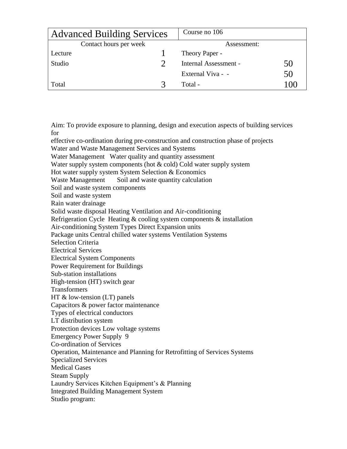|         | <b>Advanced Building Services</b> | Course no 106         |        |
|---------|-----------------------------------|-----------------------|--------|
|         | Contact hours per week            | Assessment:           |        |
| Lecture |                                   | Theory Paper -        |        |
| Studio  |                                   | Internal Assessment - | 50     |
|         |                                   | External Viva - -     | 50     |
| Total   |                                   | Total -               | l ( )( |

Aim: To provide exposure to planning, design and execution aspects of building services for

effective co-ordination during pre-construction and construction phase of projects

Water and Waste Management Services and Systems

Water Management Water quality and quantity assessment

Water supply system components (hot & cold) Cold water supply system

Hot water supply system System Selection & Economics

Waste Management Soil and waste quantity calculation

Soil and waste system components

Soil and waste system

Rain water drainage

Solid waste disposal Heating Ventilation and Air-conditioning

Refrigeration Cycle Heating & cooling system components & installation

Air-conditioning System Types Direct Expansion units

Package units Central chilled water systems Ventilation Systems

Selection Criteria

Electrical Services

Electrical System Components

Power Requirement for Buildings

Sub-station installations

High-tension (HT) switch gear

**Transformers** 

HT & low-tension (LT) panels

Capacitors & power factor maintenance

Types of electrical conductors

LT distribution system

Protection devices Low voltage systems

Emergency Power Supply 9

Co-ordination of Services

Operation, Maintenance and Planning for Retrofitting of Services Systems

Specialized Services

Medical Gases

Steam Supply

Laundry Services Kitchen Equipment's & Planning

Integrated Building Management System

Studio program: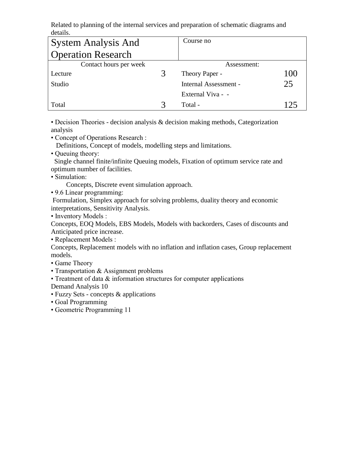Related to planning of the internal services and preparation of schematic diagrams and details.

| <b>System Analysis And</b> | Course no                    |     |
|----------------------------|------------------------------|-----|
| <b>Operation Research</b>  |                              |     |
| Contact hours per week     | Assessment:                  |     |
| Lecture                    | Theory Paper -               | 100 |
| Studio                     | <b>Internal Assessment -</b> | 25  |
|                            | External Viva - -            |     |
| Total                      | Total -                      |     |

• Decision Theories - decision analysis & decision making methods, Categorization analysis

• Concept of Operations Research :

Definitions, Concept of models, modelling steps and limitations.

• Queuing theory:

 Single channel finite/infinite Queuing models, Fixation of optimum service rate and optimum number of facilities.

• Simulation:

Concepts, Discrete event simulation approach.

• 9.6 Linear programming:

Formulation, Simplex approach for solving problems, duality theory and economic interpretations, Sensitivity Analysis.

• Inventory Models :

Concepts, EOQ Models, EBS Models, Models with backorders, Cases of discounts and Anticipated price increase.

• Replacement Models :

Concepts, Replacement models with no inflation and inflation cases, Group replacement models.

- Game Theory
- Transportation & Assignment problems
- Treatment of data & information structures for computer applications

Demand Analysis 10

- Fuzzy Sets concepts & applications
- Goal Programming
- Geometric Programming 11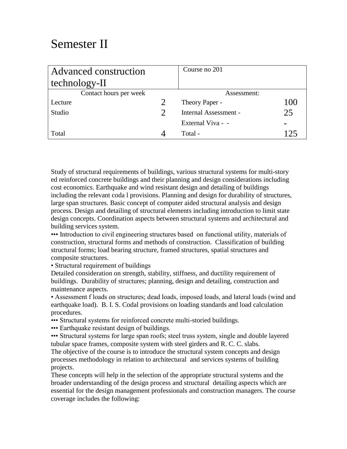## Semester II

| Advanced construction  |               | Course no 201         |     |
|------------------------|---------------|-----------------------|-----|
| technology-II          |               |                       |     |
| Contact hours per week |               | Assessment:           |     |
| Lecture                | $\mathcal{D}$ | Theory Paper -        | 100 |
| Studio                 | $\mathcal{D}$ | Internal Assessment - | 25  |
|                        |               | External Viva - -     |     |
| Total                  |               | Total -               | 125 |

Study of structural requirements of buildings, various structural systems for multi-story ed reinforced concrete buildings and their planning and design considerations including cost economics. Earthquake and wind resistant design and detailing of buildings including the relevant coda l provisions. Planning and design for durability of structures, large span structures. Basic concept of computer aided structural analysis and design process. Design and detailing of structural elements including introduction to limit state design concepts. Coordination aspects between structural systems and architectural and building services system.

••• Introduction to civil engineering structures based on functional utility, materials of construction, structural forms and methods of construction. Classification of building structural forms; load bearing structure, framed structures, spatial structures and composite structures.

• Structural requirement of buildings

Detailed consideration on strength, stability, stiffness, and ductility requirement of buildings. Durability of structures; planning, design and detailing, construction and maintenance aspects.

• Assessment f loads on structures; dead loads, imposed loads, and lateral loads (wind and earthquake load). B. I. S. Codal provisions on loading standards and load calculation procedures.

••• Structural systems for reinforced concrete multi-storied buildings.

••• Earthquake resistant design of buildings.

••• Structural systems for large span roofs; steel truss system, single and double layered tubular space frames, composite system with steel girders and R. C. C. slabs. The objective of the course is to introduce the structural system concepts and design processes methodology in relation to architectural and services systems of building projects.

These concepts will help in the selection of the appropriate structural systems and the broader understanding of the design process and structural detailing aspects which are essential for the design management professionals and construction managers. The course coverage includes the following: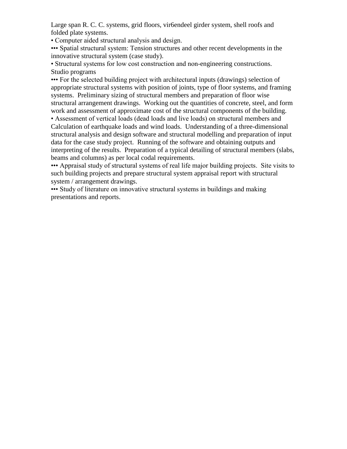Large span R. C. C. systems, grid floors, vir6endeel girder system, shell roofs and folded plate systems.

• Computer aided structural analysis and design.

••• Spatial structural system: Tension structures and other recent developments in the innovative structural system (case study).

• Structural systems for low cost construction and non-engineering constructions. Studio programs

••• For the selected building project with architectural inputs (drawings) selection of appropriate structural systems with position of joints, type of floor systems, and framing systems. Preliminary sizing of structural members and preparation of floor wise structural arrangement drawings. Working out the quantities of concrete, steel, and form work and assessment of approximate cost of the structural components of the building.

• Assessment of vertical loads (dead loads and live loads) on structural members and Calculation of earthquake loads and wind loads. Understanding of a three-dimensional structural analysis and design software and structural modelling and preparation of input data for the case study project. Running of the software and obtaining outputs and interpreting of the results. Preparation of a typical detailing of structural members (slabs, beams and columns) as per local codal requirements.

••• Appraisal study of structural systems of real life major building projects. Site visits to such building projects and prepare structural system appraisal report with structural system / arrangement drawings.

••• Study of literature on innovative structural systems in buildings and making presentations and reports.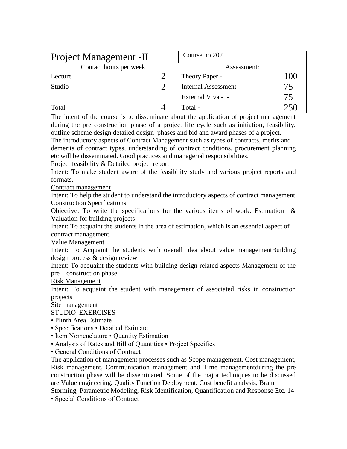| Project Management -II | Course no 202         |     |
|------------------------|-----------------------|-----|
| Contact hours per week | Assessment:           |     |
| Lecture                | Theory Paper -        | 100 |
| Studio                 | Internal Assessment - | 75  |
|                        | External Viva - -     | 75  |
| Total                  | Total -               | 250 |

The intent of the course is to disseminate about the application of project management during the pre construction phase of a project life cycle such as initiation, feasibility, outline scheme design detailed design phases and bid and award phases of a project. The introductory aspects of Contract Management such as types of contracts, merits and demerits of contract types, understanding of contract conditions, procurement planning

etc will be disseminated. Good practices and managerial responsibilities.

Project feasibility & Detailed project report

Intent: To make student aware of the feasibility study and various project reports and formats.

Contract management

Intent: To help the student to understand the introductory aspects of contract management Construction Specifications

Objective: To write the specifications for the various items of work. Estimation  $\&$ Valuation for building projects

Intent: To acquaint the students in the area of estimation, which is an essential aspect of contract management.

Value Management

Intent: To Acquaint the students with overall idea about value managementBuilding design process & design review

Intent: To acquaint the students with building design related aspects Management of the pre – construction phase

Risk Management

Intent: To acquaint the student with management of associated risks in construction projects

Site management

STUDIO EXERCISES

- Plinth Area Estimate
- Specifications Detailed Estimate
- Item Nomenclature Quantity Estimation
- Analysis of Rates and Bill of Quantities Project Specifics
- General Conditions of Contract

The application of management processes such as Scope management, Cost management, Risk management, Communication management and Time managementduring the pre construction phase will be disseminated. Some of the major techniques to be discussed are Value engineering, Quality Function Deployment, Cost benefit analysis, Brain

Storming, Parametric Modeling, Risk Identification, Quantification and Response Etc. 14

• Special Conditions of Contract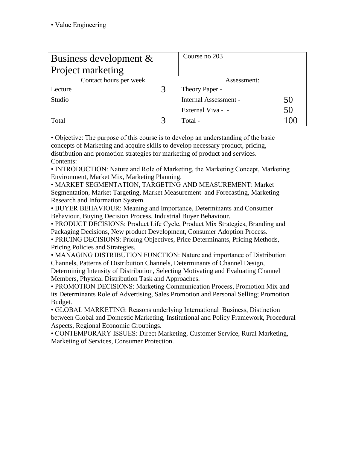| Business development $\&$ | Course no 203         |    |
|---------------------------|-----------------------|----|
| <b>Project marketing</b>  |                       |    |
| Contact hours per week    | Assessment:           |    |
| Lecture                   | Theory Paper -        |    |
| Studio                    | Internal Assessment - | 50 |
|                           | External Viva - -     | 50 |
| Total                     | Total -               |    |

• Objective: The purpose of this course is to develop an understanding of the basic concepts of Marketing and acquire skills to develop necessary product, pricing, distribution and promotion strategies for marketing of product and services. Contents:

• INTRODUCTION: Nature and Role of Marketing, the Marketing Concept, Marketing Environment, Market Mix, Marketing Planning.

• MARKET SEGMENTATION, TARGETING AND MEASUREMENT: Market Segmentation, Market Targeting, Market Measurement and Forecasting, Marketing Research and Information System.

• BUYER BEHAVIOUR: Meaning and Importance, Determinants and Consumer Behaviour, Buying Decision Process, Industrial Buyer Behaviour.

• PRODUCT DECISIONS: Product Life Cycle, Product Mix Strategies, Branding and Packaging Decisions, New product Development, Consumer Adoption Process.

• PRICING DECISIONS: Pricing Objectives, Price Determinants, Pricing Methods, Pricing Policies and Strategies.

• MANAGING DISTRIBUTION FUNCTION: Nature and importance of Distribution Channels, Patterns of Distribution Channels, Determinants of Channel Design, Determining Intensity of Distribution, Selecting Motivating and Evaluating Channel Members, Physical Distribution Task and Approaches.

• PROMOTION DECISIONS: Marketing Communication Process, Promotion Mix and its Determinants Role of Advertising, Sales Promotion and Personal Selling; Promotion Budget.

• GLOBAL MARKETING: Reasons underlying International Business, Distinction between Global and Domestic Marketing, Institutional and Policy Framework, Procedural Aspects, Regional Economic Groupings.

• CONTEMPORARY ISSUES: Direct Marketing, Customer Service, Rural Marketing, Marketing of Services, Consumer Protection.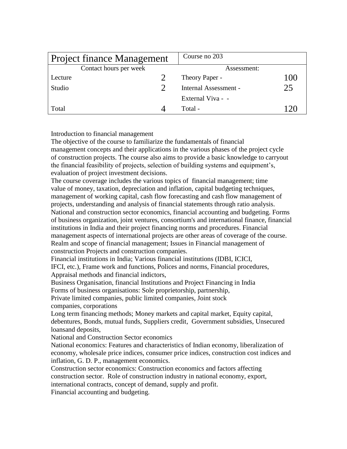| <b>Project finance Management</b> | Course no 203         |     |
|-----------------------------------|-----------------------|-----|
| Contact hours per week            | Assessment:           |     |
| Lecture                           | Theory Paper -        | 100 |
| Studio                            | Internal Assessment - | 25  |
|                                   | External Viva - -     |     |
| Total                             | Total -               |     |

Introduction to financial management

The objective of the course to familiarize the fundamentals of financial management concepts and their applications in the various phases of the project cycle of construction projects. The course also aims to provide a basic knowledge to carryout the financial feasibility of projects, selection of building systems and equipment's, evaluation of project investment decisions.

The course coverage includes the various topics of financial management; time value of money, taxation, depreciation and inflation, capital budgeting techniques, management of working capital, cash flow forecasting and cash flow management of projects, understanding and analysis of financial statements through ratio analysis. National and construction sector economics, financial accounting and budgeting. Forms of business organization, joint ventures, consortium's and international finance, financial institutions in India and their project financing norms and procedures. Financial management aspects of international projects are other areas of coverage of the course. Realm and scope of financial management; Issues in Financial management of construction Projects and construction companies.

Financial institutions in India; Various financial institutions (IDBI, ICICI,

IFCI, etc.), Frame work and functions, Polices and norms, Financial procedures, Appraisal methods and financial indictors,

Business Organisation, financial Institutions and Project Financing in India

Forms of business organisations: Sole proprietorship, partnership,

Private limited companies, public limited companies, Joint stock

companies, corporations

Long term financing methods; Money markets and capital market, Equity capital, debentures, Bonds, mutual funds, Suppliers credit, Government subsidies, Unsecured loansand deposits,

National and Construction Sector economics

National economics: Features and characteristics of Indian economy, liberalization of economy, wholesale price indices, consumer price indices, construction cost indices and inflation, G. D. P., management economics.

Construction sector economics: Construction economics and factors affecting construction sector. Role of construction industry in national economy, export, international contracts, concept of demand, supply and profit.

Financial accounting and budgeting.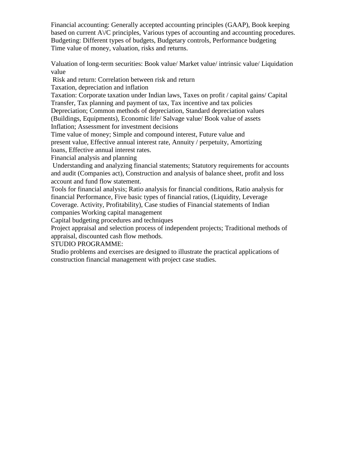Financial accounting: Generally accepted accounting principles (GAAP), Book keeping based on current A\/C principles, Various types of accounting and accounting procedures. Budgeting: Different types of budgets, Budgetary controls, Performance budgeting Time value of money, valuation, risks and returns.

Valuation of long-term securities: Book value/ Market value/ intrinsic value/ Liquidation value

Risk and return: Correlation between risk and return

Taxation, depreciation and inflation

Taxation: Corporate taxation under Indian laws, Taxes on profit / capital gains/ Capital Transfer, Tax planning and payment of tax, Tax incentive and tax policies

Depreciation; Common methods of depreciation, Standard depreciation values

(Buildings, Equipments), Economic life/ Salvage value/ Book value of assets

Inflation; Assessment for investment decisions

Time value of money; Simple and compound interest, Future value and

present value, Effective annual interest rate, Annuity / perpetuity, Amortizing

loans, Effective annual interest rates.

Financial analysis and planning

Understanding and analyzing financial statements; Statutory requirements for accounts and audit (Companies act), Construction and analysis of balance sheet, profit and loss account and fund flow statement.

Tools for financial analysis; Ratio analysis for financial conditions, Ratio analysis for financial Performance, Five basic types of financial ratios, (Liquidity, Leverage Coverage. Activity, Profitability), Case studies of Financial statements of Indian

companies Working capital management

Capital budgeting procedures and techniques

Project appraisal and selection process of independent projects; Traditional methods of appraisal, discounted cash flow methods.

STUDIO PROGRAMME:

Studio problems and exercises are designed to illustrate the practical applications of construction financial management with project case studies.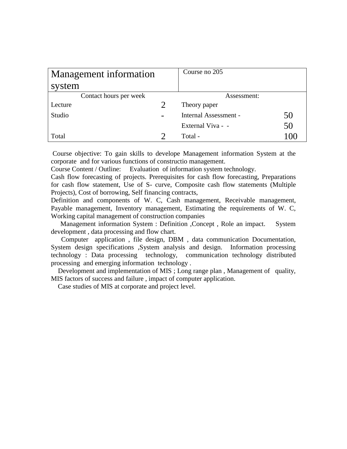| Management information | Course no 205         |    |
|------------------------|-----------------------|----|
| system                 |                       |    |
| Contact hours per week | Assessment:           |    |
| Lecture                | Theory paper          |    |
| Studio                 | Internal Assessment - | 50 |
|                        | External Viva - -     | 50 |
| Total                  | Total -               |    |

Course objective: To gain skills to develope Management information System at the corporate and for various functions of constructio management.

Course Content / Outline: Evaluation of information system technology.

Cash flow forecasting of projects. Prerequisites for cash flow forecasting, Preparations for cash flow statement, Use of S- curve, Composite cash flow statements (Multiple Projects), Cost of borrowing, Self financing contracts,

Definition and components of W. C, Cash management, Receivable management, Payable management, Inventory management, Estimating the requirements of W. C, Working capital management of construction companies

 Management information System : Definition ,Concept , Role an impact. System development , data processing and flow chart.

 Computer application , file design, DBM , data communication Documentation, System design specifications ,System analysis and design. Information processing technology : Data processing technology, communication technology distributed processing and emerging information technology .

 Development and implementation of MIS ; Long range plan , Management of quality, MIS factors of success and failure , impact of computer application.

Case studies of MIS at corporate and project level.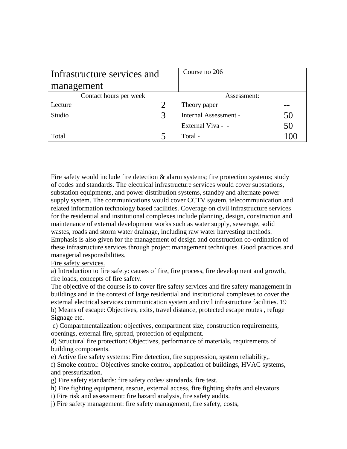| Infrastructure services and |   | Course no 206         |    |
|-----------------------------|---|-----------------------|----|
| management                  |   |                       |    |
| Contact hours per week      |   | Assessment:           |    |
| Lecture                     |   | Theory paper          |    |
| Studio                      | 3 | Internal Assessment - | 50 |
|                             |   | External Viva - -     | 50 |
| Total                       |   | Total -               |    |

Fire safety would include fire detection & alarm systems; fire protection systems; study of codes and standards. The electrical infrastructure services would cover substations, substation equipments, and power distribution systems, standby and alternate power supply system. The communications would cover CCTV system, telecommunication and related information technology based facilities. Coverage on civil infrastructure services for the residential and institutional complexes include planning, design, construction and maintenance of external development works such as water supply, sewerage, solid wastes, roads and storm water drainage, including raw water harvesting methods. Emphasis is also given for the management of design and construction co-ordination of these infrastructure services through project management techniques. Good practices and managerial responsibilities.

Fire safety services.

a) Introduction to fire safety: causes of fire, fire process, fire development and growth, fire loads, concepts of fire safety.

The objective of the course is to cover fire safety services and fire safety management in buildings and in the context of large residential and institutional complexes to cover the external electrical services communication system and civil infrastructure facilities. 19 b) Means of escape: Objectives, exits, travel distance, protected escape routes , refuge Signage etc.

c) Compartmentalization: objectives, compartment size, construction requirements, openings, external fire, spread, protection of equipment.

d) Structural fire protection: Objectives, performance of materials, requirements of building components.

e) Active fire safety systems: Fire detection, fire suppression, system reliability,.

f) Smoke control: Objectives smoke control, application of buildings, HVAC systems, and pressurization.

g) Fire safety standards: fire safety codes/ standards, fire test.

h) Fire fighting equipment, rescue, external access, fire fighting shafts and elevators.

i) Fire risk and assessment: fire hazard analysis, fire safety audits.

j) Fire safety management: fire safety management, fire safety, costs,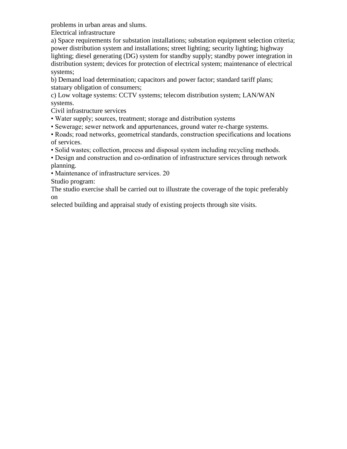problems in urban areas and slums.

Electrical infrastructure

a) Space requirements for substation installations; substation equipment selection criteria; power distribution system and installations; street lighting; security lighting; highway lighting; diesel generating (DG) system for standby supply; standby power integration in distribution system; devices for protection of electrical system; maintenance of electrical systems;

b) Demand load determination; capacitors and power factor; standard tariff plans; statuary obligation of consumers;

c) Low voltage systems: CCTV systems; telecom distribution system; LAN/WAN systems.

Civil infrastructure services

- Water supply; sources, treatment; storage and distribution systems
- Sewerage; sewer network and appurtenances, ground water re-charge systems.

• Roads; road networks, geometrical standards, construction specifications and locations of services.

• Solid wastes; collection, process and disposal system including recycling methods.

• Design and construction and co-ordination of infrastructure services through network planning.

• Maintenance of infrastructure services. 20

Studio program:

The studio exercise shall be carried out to illustrate the coverage of the topic preferably on

selected building and appraisal study of existing projects through site visits.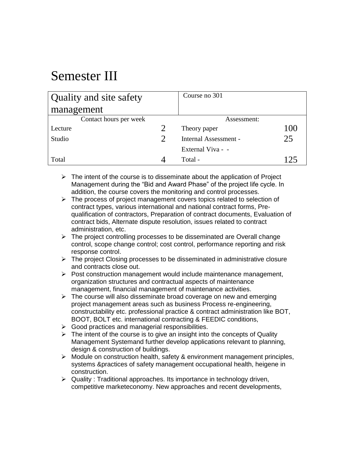# Semester III

| Quality and site safety | Course no 301         |     |
|-------------------------|-----------------------|-----|
| management              |                       |     |
| Contact hours per week  | Assessment:           |     |
| Lecture                 | Theory paper          | 100 |
| Studio                  | Internal Assessment - | 25  |
|                         | External Viva - -     |     |
| Total                   | Total -               | 174 |

- $\triangleright$  The intent of the course is to disseminate about the application of Project Management during the "Bid and Award Phase" of the project life cycle. In addition, the course covers the monitoring and control processes.
- $\triangleright$  The process of project management covers topics related to selection of contract types, various international and national contract forms, Prequalification of contractors, Preparation of contract documents, Evaluation of contract bids, Alternate dispute resolution, issues related to contract administration, etc.
- $\triangleright$  The project controlling processes to be disseminated are Overall change control, scope change control; cost control, performance reporting and risk response control.
- $\triangleright$  The project Closing processes to be disseminated in administrative closure and contracts close out.
- $\triangleright$  Post construction management would include maintenance management, organization structures and contractual aspects of maintenance management, financial management of maintenance activities.
- $\triangleright$  The course will also disseminate broad coverage on new and emerging project management areas such as business Process re-engineering, constructability etc. professional practice & contract administration like BOT, BOOT, BOLT etc. international contracting & FEEDIC conditions,
- $\triangleright$  Good practices and managerial responsibilities.
- $\triangleright$  The intent of the course is to give an insight into the concepts of Quality Management Systemand further develop applications relevant to planning, design & construction of buildings.
- $\triangleright$  Module on construction health, safety & environment management principles, systems &practices of safety management occupational health, heigene in construction.
- $\triangleright$  Quality : Traditional approaches. Its importance in technology driven, competitive marketeconomy. New approaches and recent developments,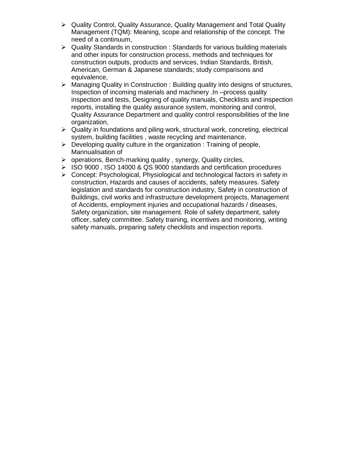- $\triangleright$  Quality Control, Quality Assurance, Quality Management and Total Quality Management (TQM): Meaning, scope and relationship of the concept. The need of a continuum,
- $\triangleright$  Quality Standards in construction : Standards for various building materials and other inputs for construction process, methods and techniques for construction outputs, products and services, Indian Standards, British, American, German & Japanese standards; study comparisons and equivalence,
- $\triangleright$  Managing Quality in Construction : Building quality into designs of structures, Inspection of incoming materials and machinery .In –process quality inspection and tests, Designing of quality manuals, Checklists and inspection reports, installing the quality assurance system, monitoring and control, Quality Assurance Department and quality control responsibilities of the line organization,
- $\triangleright$  Quality in foundations and piling work, structural work, concreting, electrical system, building facilities , waste recycling and maintenance,
- $\triangleright$  Developing quality culture in the organization : Training of people, Mannualisation of
- $\triangleright$  operations, Bench-marking quality, synergy, Quality circles,
- $\geq$  ISO 9000 , ISO 14000 & QS 9000 standards and certification procedures
- Concept: Psychological, Physiological and technological factors in safety in construction, Hazards and causes of accidents, safety measures. Safety legislation and standards for construction industry, Safety in construction of Buildings, civil works and infrastructure development projects, Management of Accidents, employment injuries and occupational hazards / diseases, Safety organization, site management. Role of safety department, safety officer, safety committee. Safety training, incentives and monitoring, writing safety manuals, preparing safety checklists and inspection reports.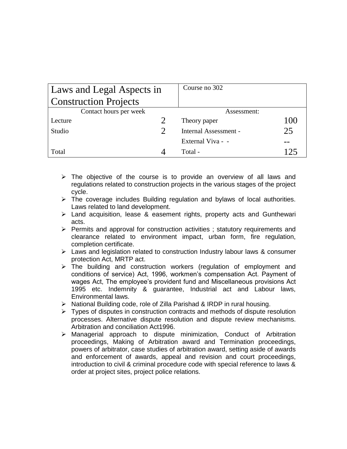| Laws and Legal Aspects in    | Course no 302         |                 |
|------------------------------|-----------------------|-----------------|
| <b>Construction Projects</b> |                       |                 |
| Contact hours per week       | Assessment:           |                 |
| Lecture                      | Theory paper          | 100             |
| Studio                       | Internal Assessment - | 25              |
|                              | External Viva - -     |                 |
| Total                        | Total -               | 12 <sup>5</sup> |

- $\triangleright$  The objective of the course is to provide an overview of all laws and regulations related to construction projects in the various stages of the project cycle.
- $\triangleright$  The coverage includes Building regulation and bylaws of local authorities. Laws related to land development.
- $\triangleright$  Land acquisition, lease & easement rights, property acts and Gunthewari acts.
- $\triangleright$  Permits and approval for construction activities ; statutory requirements and clearance related to environment impact, urban form, fire regulation, completion certificate.
- $\triangleright$  Laws and legislation related to construction Industry labour laws & consumer protection Act, MRTP act.
- $\triangleright$  The building and construction workers (regulation of employment and conditions of service) Act, 1996, workmen's compensation Act. Payment of wages Act, The employee's provident fund and Miscellaneous provisions Act 1995 etc. Indemnity & guarantee, Industrial act and Labour laws, Environmental laws.
- $\triangleright$  National Building code, role of Zilla Parishad & IRDP in rural housing.
- $\triangleright$  Types of disputes in construction contracts and methods of dispute resolution processes. Alternative dispute resolution and dispute review mechanisms. Arbitration and conciliation Act1996.
- Managerial approach to dispute minimization, Conduct of Arbitration proceedings, Making of Arbitration award and Termination proceedings, powers of arbitrator, case studies of arbitration award, setting aside of awards and enforcement of awards, appeal and revision and court proceedings, introduction to civil & criminal procedure code with special reference to laws & order at project sites, project police relations.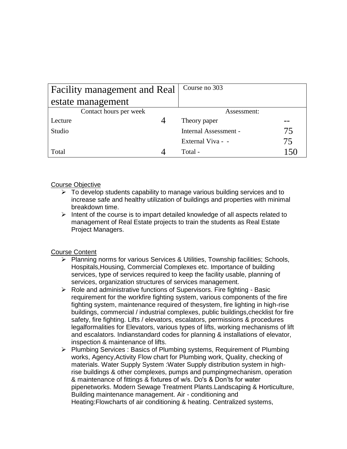| Facility management and Real | Course no 303         |     |
|------------------------------|-----------------------|-----|
| estate management            |                       |     |
| Contact hours per week       | Assessment:           |     |
| Lecture                      | Theory paper          |     |
| Studio                       | Internal Assessment - | 75. |
|                              | External Viva - -     | 75  |
| Total                        | Total -               | 150 |

#### Course Objective

- $\triangleright$  To develop students capability to manage various building services and to increase safe and healthy utilization of buildings and properties with minimal breakdown time.
- $\triangleright$  Intent of the course is to impart detailed knowledge of all aspects related to management of Real Estate projects to train the students as Real Estate Project Managers.

#### Course Content

- Planning norms for various Services & Utilities, Township facilities; Schools, Hospitals,Housing, Commercial Complexes etc. Importance of building services, type of services required to keep the facility usable, planning of services, organization structures of services management.
- $\triangleright$  Role and administrative functions of Supervisors. Fire fighting Basic requirement for the workfire fighting system, various components of the fire fighting system, maintenance required of thesystem, fire lighting in high-rise buildings, commercial / industrial complexes, public buildings,checklist for fire safety, fire fighting. Lifts / elevators, escalators, permissions & procedures legalformalities for Elevators, various types of lifts, working mechanisms of lift and escalators. Indianstandard codes for planning & installations of elevator, inspection & maintenance of lifts.
- Plumbing Services : Basics of Plumbing systems, Requirement of Plumbing works, Agency,Activity Flow chart for Plumbing work, Quality, checking of materials. Water Supply System :Water Supply distribution system in highrise buildings & other complexes, pumps and pumpingmechanism, operation & maintenance of fittings & fixtures of w/s. Do's & Don'ts for water pipenetworks. Modern Sewage Treatment Plants.Landscaping & Horticulture, Building maintenance management. Air - conditioning and Heating:Flowcharts of air conditioning & heating. Centralized systems,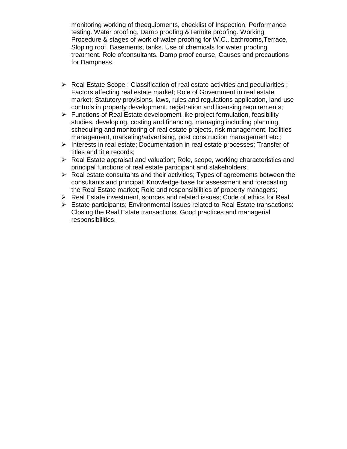monitoring working of theequipments, checklist of Inspection, Performance testing. Water proofing, Damp proofing &Termite proofing. Working Procedure & stages of work of water proofing for W.C., bathrooms,Terrace, Sloping roof, Basements, tanks. Use of chemicals for water proofing treatment. Role ofconsultants. Damp proof course, Causes and precautions for Dampness.

- $\triangleright$  Real Estate Scope : Classification of real estate activities and peculiarities ; Factors affecting real estate market; Role of Government in real estate market; Statutory provisions, laws, rules and regulations application, land use controls in property development, registration and licensing requirements;
- $\triangleright$  Functions of Real Estate development like project formulation, feasibility studies, developing, costing and financing, managing including planning, scheduling and monitoring of real estate projects, risk management, facilities management, marketing/advertising, post construction management etc.;
- $\triangleright$  Interests in real estate; Documentation in real estate processes; Transfer of titles and title records;
- $\triangleright$  Real Estate appraisal and valuation: Role, scope, working characteristics and principal functions of real estate participant and stakeholders;
- $\triangleright$  Real estate consultants and their activities; Types of agreements between the consultants and principal; Knowledge base for assessment and forecasting the Real Estate market; Role and responsibilities of property managers;
- ▶ Real Estate investment, sources and related issues; Code of ethics for Real
- $\triangleright$  Estate participants; Environmental issues related to Real Estate transactions: Closing the Real Estate transactions. Good practices and managerial responsibilities.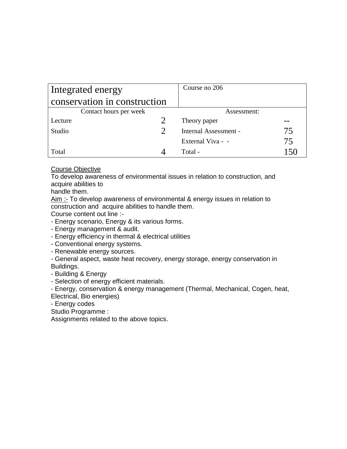| Integrated energy            | Course no 206         |       |
|------------------------------|-----------------------|-------|
| conservation in construction |                       |       |
| Contact hours per week       | Assessment:           |       |
| Lecture                      | Theory paper          |       |
| Studio                       | Internal Assessment - | 75    |
|                              | External Viva - -     | 75.   |
| Total                        | Total -               | ا 5 ا |

#### Course Objective

To develop awareness of environmental issues in relation to construction, and acquire abilities to

handle them.

Aim :- To develop awareness of environmental & energy issues in relation to construction and acquire abilities to handle them.

Course content out line :-

- Energy scenario, Energy & its various forms.

- Energy management & audit.

- Energy efficiency in thermal & electrical utilities

- Conventional energy systems.

- Renewable energy sources.

- General aspect, waste heat recovery, energy storage, energy conservation in Buildings.

- Building & Energy

- Selection of energy efficient materials.

- Energy, conservation & energy management (Thermal, Mechanical, Cogen, heat, Electrical, Bio energies)

- Energy codes

Studio Programme :

Assignments related to the above topics.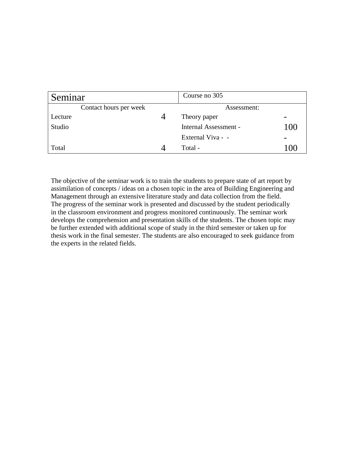| Seminar |                        | Course no 305         |                          |
|---------|------------------------|-----------------------|--------------------------|
|         | Contact hours per week | Assessment:           |                          |
| Lecture |                        | Theory paper          | $\overline{\phantom{0}}$ |
| Studio  |                        | Internal Assessment - | 100                      |
|         |                        | External Viva - -     | $\overline{\phantom{0}}$ |
| Total   |                        | Total -               | 1 ( ) (                  |

The objective of the seminar work is to train the students to prepare state of art report by assimilation of concepts / ideas on a chosen topic in the area of Building Engineering and Management through an extensive literature study and data collection from the field. The progress of the seminar work is presented and discussed by the student periodically in the classroom environment and progress monitored continuously. The seminar work develops the comprehension and presentation skills of the students. The chosen topic may be further extended with additional scope of study in the third semester or taken up for thesis work in the final semester. The students are also encouraged to seek guidance from the experts in the related fields.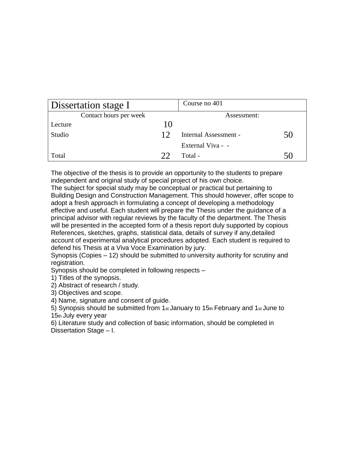| Dissertation stage I   |    | Course no 401         |    |
|------------------------|----|-----------------------|----|
| Contact hours per week |    | Assessment:           |    |
| Lecture                | 10 |                       |    |
| Studio                 | 12 | Internal Assessment - | 50 |
|                        |    | External Viva - -     |    |
| Total                  | フフ | Total -               |    |

The objective of the thesis is to provide an opportunity to the students to prepare independent and original study of special project of his own choice.

The subject for special study may be conceptual or practical but pertaining to Building Design and Construction Management. This should however, offer scope to adopt a fresh approach in formulating a concept of developing a methodology effective and useful. Each student will prepare the Thesis under the guidance of a principal advisor with regular reviews by the faculty of the department. The Thesis will be presented in the accepted form of a thesis report duly supported by copious References, sketches, graphs, statistical data, details of survey if any,detailed account of experimental analytical procedures adopted. Each student is required to defend his Thesis at a Viva Voce Examination by jury.

Synopsis (Copies – 12) should be submitted to university authority for scrutiny and registration.

Synopsis should be completed in following respects –

1) Titles of the synopsis.

2) Abstract of research / study.

3) Objectives and scope.

4) Name, signature and consent of guide.

5) Synopsis should be submitted from 1st January to 15th February and 1st June to 15th July every year

6) Literature study and collection of basic information, should be completed in Dissertation Stage – I.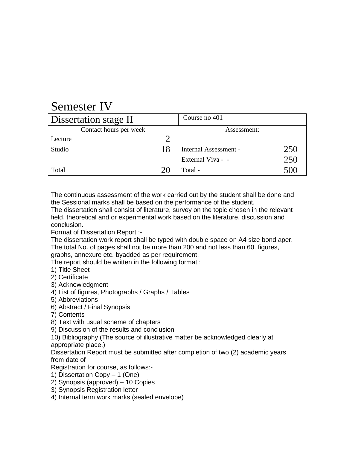## Semester IV

| Dissertation stage II  |    | Course no 401         |     |
|------------------------|----|-----------------------|-----|
| Contact hours per week |    | Assessment:           |     |
| Lecture                |    |                       |     |
| Studio                 | 18 | Internal Assessment - | 250 |
|                        |    | External Viva - -     | 250 |
| Total                  |    | Total -               | 500 |

The continuous assessment of the work carried out by the student shall be done and the Sessional marks shall be based on the performance of the student.

The dissertation shall consist of literature, survey on the topic chosen in the relevant field, theoretical and or experimental work based on the literature, discussion and conclusion.

Format of Dissertation Report :-

The dissertation work report shall be typed with double space on A4 size bond aper. The total No. of pages shall not be more than 200 and not less than 60. figures, graphs, annexure etc. byadded as per requirement.

The report should be written in the following format :

1) Title Sheet

2) Certificate

3) Acknowledgment

4) List of figures, Photographs / Graphs / Tables

5) Abbreviations

6) Abstract / Final Synopsis

7) Contents

8) Text with usual scheme of chapters

9) Discussion of the results and conclusion

10) Bibliography (The source of illustrative matter be acknowledged clearly at appropriate place.)

Dissertation Report must be submitted after completion of two (2) academic years from date of

Registration for course, as follows:-

1) Dissertation Copy – 1 (One)

2) Synopsis (approved) – 10 Copies

3) Synopsis Registration letter

4) Internal term work marks (sealed envelope)